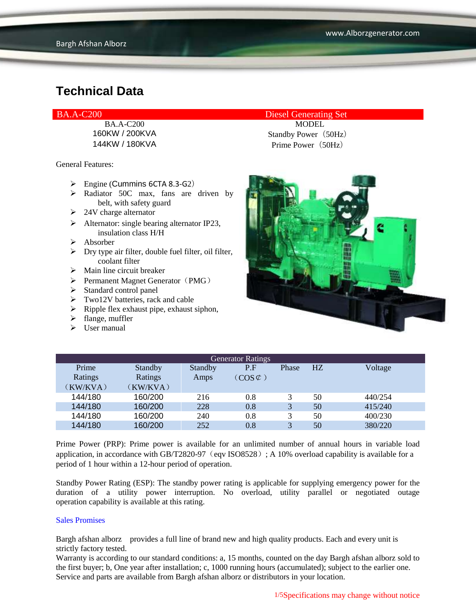General Features:

- $\triangleright$  Engine (Cummins 6CTA 8.3-G2)
- $\triangleright$  Radiator 50C max, fans are driven by belt, with safety guard
- $\geq 24V$  charge alternator
- $\triangleright$  Alternator: single bearing alternator IP23, insulation class H/H
- Absorber
- $\triangleright$  Dry type air filter, double fuel filter, oil filter, coolant filter
- $\triangleright$  Main line circuit breaker
- $\triangleright$  Permanent Magnet Generator (PMG)
- $\triangleright$  Standard control panel
- $\triangleright$  Two12V batteries, rack and cable
- $\triangleright$  Ripple flex exhaust pipe, exhaust siphon,
- $\blacktriangleright$  flange, muffler
- $\triangleright$  User manual

BA.A-C200 Diesel Generating Set

BA.A-C200 MODEL 160KW / 200KVA Standby Power (50Hz) 144KW / 180KVA Prime Power (50Hz)



| <b>Generator Ratings</b> |          |         |                     |              |    |         |
|--------------------------|----------|---------|---------------------|--------------|----|---------|
| Prime                    | Standby  | Standby | P.F                 | Phase        | HZ | Voltage |
| Ratings                  | Ratings  | Amps    | $(COS \mathcal{L})$ |              |    |         |
| (KW/KVA)                 | (KW/KVA) |         |                     |              |    |         |
| 144/180                  | 160/200  | 216     | 0.8                 | 3            | 50 | 440/254 |
| 144/180                  | 160/200  | 228     | 0.8                 | 3            | 50 | 415/240 |
| 144/180                  | 160/200  | 240     | 0.8                 | 3            | 50 | 400/230 |
| 144/180                  | 160/200  | 252     | 0.8                 | $\mathbf{R}$ | 50 | 380/220 |

Prime Power (PRP): Prime power is available for an unlimited number of annual hours in variable load application, in accordance with GB/T2820-97 (eqv ISO8528); A 10% overload capability is available for a period of 1 hour within a 12-hour period of operation.

Standby Power Rating (ESP): The standby power rating is applicable for supplying emergency power for the duration of a utility power interruption. No overload, utility parallel or negotiated outage operation capability is available at this rating.

#### Sales Promises

Bargh afshan alborz provides a full line of brand new and high quality products. Each and every unit is strictly factory tested.

Warranty is according to our standard conditions: a, 15 months, counted on the day Bargh afshan alborz sold to the first buyer; b, One year after installation; c, 1000 running hours (accumulated); subject to the earlier one. Service and parts are available from Bargh afshan alborz or distributors in your location.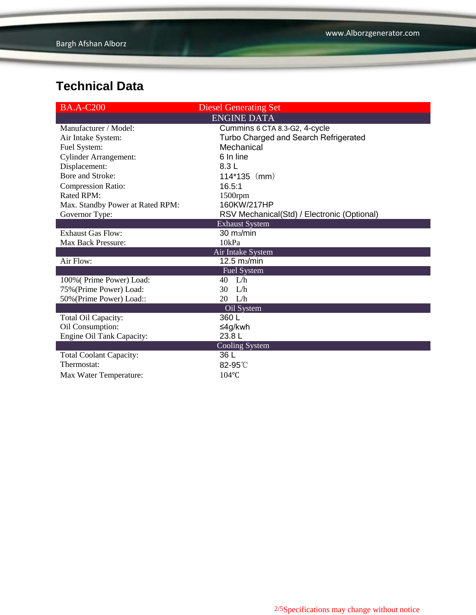| <b>BA.A-C200</b>                 | <b>Diesel Generating Set</b>                |
|----------------------------------|---------------------------------------------|
|                                  | <b>ENGINE DATA</b>                          |
| Manufacturer / Model:            | Cummins 6 CTA 8.3-G2, 4-cycle               |
| Air Intake System:               | Turbo Charged and Search Refrigerated       |
| Fuel System:                     | Mechanical                                  |
| <b>Cylinder Arrangement:</b>     | 6 In line                                   |
| Displacement:                    | 8.3L                                        |
| Bore and Stroke:                 | $114*135$ (mm)                              |
| <b>Compression Ratio:</b>        | 16.5:1                                      |
| Rated RPM:                       | 1500rpm                                     |
| Max. Standby Power at Rated RPM: | 160KW/217HP                                 |
| Governor Type:                   | RSV Mechanical(Std) / Electronic (Optional) |
|                                  | <b>Exhaust System</b>                       |
| <b>Exhaust Gas Flow:</b>         | $30 \text{ m}$ <sub>2</sub> /min            |
| <b>Max Back Pressure:</b>        | 10kPa                                       |
|                                  | Air Intake System                           |
| Air Flow:                        | 12.5 m <sub>3</sub> /min                    |
|                                  | <b>Fuel System</b>                          |
| 100% (Prime Power) Load:         | L/h<br>40                                   |
| 75% (Prime Power) Load:          | 30<br>L/h                                   |
| 50% (Prime Power) Load::         | 20 L/h                                      |
|                                  | Oil System                                  |
| Total Oil Capacity:              | 360 L                                       |
| Oil Consumption:                 | ≤4g/kwh                                     |
| Engine Oil Tank Capacity:        | 23.8L                                       |
|                                  | Cooling System                              |
| <b>Total Coolant Capacity:</b>   | 36 L                                        |
| Thermostat:                      | $82-95^\circ$                               |
| Max Water Temperature:           | $104$ °C                                    |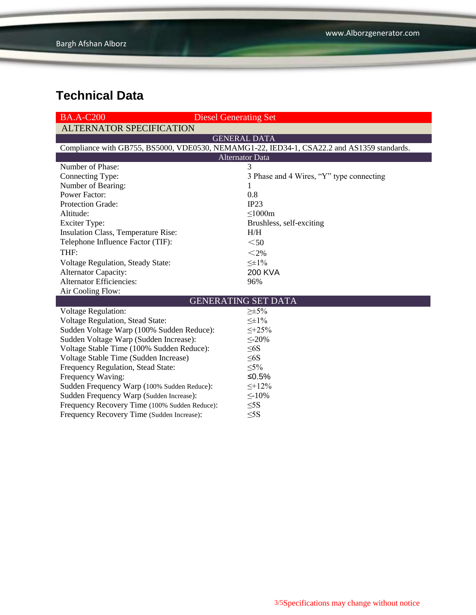| <b>BA.A-C200</b>                                                                           | <b>Diesel Generating Set</b>             |  |  |  |  |
|--------------------------------------------------------------------------------------------|------------------------------------------|--|--|--|--|
| <b>ALTERNATOR SPECIFICATION</b>                                                            |                                          |  |  |  |  |
|                                                                                            | <b>GENERAL DATA</b>                      |  |  |  |  |
| Compliance with GB755, BS5000, VDE0530, NEMAMG1-22, IED34-1, CSA22.2 and AS1359 standards. |                                          |  |  |  |  |
| <b>Alternator Data</b>                                                                     |                                          |  |  |  |  |
| Number of Phase:                                                                           | 3                                        |  |  |  |  |
| Connecting Type:                                                                           | 3 Phase and 4 Wires, "Y" type connecting |  |  |  |  |
| Number of Bearing:                                                                         | 1                                        |  |  |  |  |
| <b>Power Factor:</b>                                                                       | 0.8                                      |  |  |  |  |
| Protection Grade:                                                                          | IP23                                     |  |  |  |  |
| Altitude:                                                                                  | $\leq$ 1000m                             |  |  |  |  |
| <b>Exciter Type:</b>                                                                       | Brushless, self-exciting                 |  |  |  |  |
| Insulation Class, Temperature Rise:                                                        | H/H                                      |  |  |  |  |
| Telephone Influence Factor (TIF):                                                          | $50$                                     |  |  |  |  |
| THF:                                                                                       | $<$ 2%                                   |  |  |  |  |
| Voltage Regulation, Steady State:                                                          | $\leq \pm 1\%$                           |  |  |  |  |
| <b>Alternator Capacity:</b>                                                                | <b>200 KVA</b>                           |  |  |  |  |
| <b>Alternator Efficiencies:</b>                                                            | 96%                                      |  |  |  |  |
| Air Cooling Flow:                                                                          |                                          |  |  |  |  |
| <b>GENERATING SET DATA</b>                                                                 |                                          |  |  |  |  |
| <b>Voltage Regulation:</b>                                                                 | $\geq \pm 5\%$                           |  |  |  |  |
| <b>Voltage Regulation, Stead State:</b>                                                    | $\leq \pm 1\%$                           |  |  |  |  |
| Sudden Voltage Warp (100% Sudden Reduce):                                                  | $<+25\%$                                 |  |  |  |  |
| Sudden Voltage Warp (Sudden Increase):                                                     | $\leq$ -20%                              |  |  |  |  |
| Voltage Stable Time (100% Sudden Reduce):                                                  | $\leq 6S$                                |  |  |  |  |
| Voltage Stable Time (Sudden Increase)                                                      | $\leq 6S$                                |  |  |  |  |
| Frequency Regulation, Stead State:                                                         | $\leq 5\%$                               |  |  |  |  |
| Frequency Waving:                                                                          | ≤ $0.5%$                                 |  |  |  |  |
| Sudden Frequency Warp (100% Sudden Reduce):                                                | $\leq +12\%$                             |  |  |  |  |
| Sudden Frequency Warp (Sudden Increase):                                                   | $\leq$ -10%                              |  |  |  |  |
| Frequency Recovery Time (100% Sudden Reduce):                                              | $\leq$ 5S                                |  |  |  |  |
| Frequency Recovery Time (Sudden Increase):                                                 | $\leq$ 5S                                |  |  |  |  |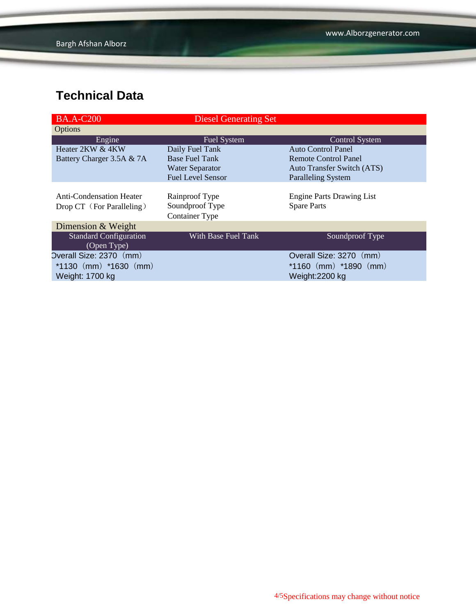| <b>BA.A-C200</b>              | <b>Diesel Generating Set</b> |                                  |
|-------------------------------|------------------------------|----------------------------------|
| Options                       |                              |                                  |
| Engine                        | <b>Fuel System</b>           | <b>Control System</b>            |
| Heater 2KW & 4KW              | Daily Fuel Tank              | Auto Control Panel               |
| Battery Charger 3.5A & 7A     | <b>Base Fuel Tank</b>        | Remote Control Panel             |
|                               | <b>Water Separator</b>       | Auto Transfer Switch (ATS)       |
|                               | <b>Fuel Level Sensor</b>     | <b>Paralleling System</b>        |
|                               |                              |                                  |
| Anti-Condensation Heater      | Rainproof Type               | <b>Engine Parts Drawing List</b> |
| Drop CT (For Paralleling)     | Soundproof Type              | <b>Spare Parts</b>               |
|                               | Container Type               |                                  |
| Dimension & Weight            |                              |                                  |
| <b>Standard Configuration</b> | With Base Fuel Tank          | Soundproof Type                  |
| (Open Type)                   |                              |                                  |
| Overall Size: 2370 (mm)       |                              | Overall Size: 3270 (mm)          |
| $*1130$ (mm) $*1630$ (mm)     |                              | $*1160$ (mm) $*1890$ (mm)        |
| Weight: 1700 kg               |                              | Weight:2200 kg                   |